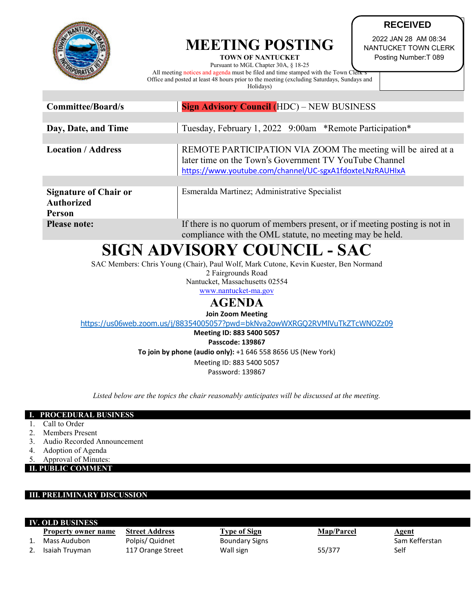

## **MEETING POSTING**

**TOWN OF NANTUCKET** 

NANTUCKET TOWN CLERK Posting Number:T 089

**RECEIVED** 2022 JAN 28 AM 08:34

Pursuant to MGL Chapter 30A, § 18-25 All meeting notices and agenda must be filed and time stamped with the Town Clerk Office and posted at least 48 hours prior to the meeting (excluding Saturdays, Sundays and Holidays)

| <b>Committee/Board/s</b>                                    | <b>Sign Advisory Council (HDC) – NEW BUSINESS</b>                                                                                                                                  |  |  |
|-------------------------------------------------------------|------------------------------------------------------------------------------------------------------------------------------------------------------------------------------------|--|--|
|                                                             |                                                                                                                                                                                    |  |  |
| Day, Date, and Time                                         | Tuesday, February 1, 2022 9:00am *Remote Participation*                                                                                                                            |  |  |
|                                                             |                                                                                                                                                                                    |  |  |
| <b>Location / Address</b>                                   | REMOTE PARTICIPATION VIA ZOOM The meeting will be aired at a<br>later time on the Town's Government TV YouTube Channel<br>https://www.youtube.com/channel/UC-sgxA1fdoxteLNzRAUHIxA |  |  |
|                                                             |                                                                                                                                                                                    |  |  |
| <b>Signature of Chair or</b><br><b>Authorized</b><br>Person | Esmeralda Martinez; Administrative Specialist                                                                                                                                      |  |  |
| <b>Please note:</b>                                         | If there is no quorum of members present, or if meeting posting is not in<br>$\sim$ 1.1 1 $\sim$ 1.1 $\sim$ 1.1 $\sim$ 1.1 $\sim$                                                  |  |  |

compliance with the OML statute, no meeting may be held.

# **SIGN ADVISORY COUNCIL - SAC**

SAC Members: Chris Young (Chair), Paul Wolf, Mark Cutone, Kevin Kuester, Ben Normand

2 Fairgrounds Road

Nantucket, Massachusetts 02554 [www.nantucket-ma.gov](http://www.nantucket-ma.gov/)

### **AGENDA**

**Join Zoom Meeting**

<https://us06web.zoom.us/j/88354005057?pwd=bkNva2owWXRGQ2RVMlVuTkZTcWNOZz09>

**Meeting ID: 883 5400 5057 Passcode: 139867**

**To join by phone (audio only):** +1 646 558 8656 US (New York)

Meeting ID: 883 5400 5057 Password: 139867

*Listed below are the topics the chair reasonably anticipates will be discussed at the meeting.*

### **I. PROCEDURAL BUSINESS**

- 1. Call to Order
- 2. Members Present
- 3. Audio Recorded Announcement
- 4. Adoption of Agenda
- Approval of Minutes:
- **II. PUBLIC COMMENT**

### **III. PRELIMINARY DISCUSSION**

| <b>IV. OLD BUSINESS</b> |                            |                       |                       |                   |                |  |  |  |
|-------------------------|----------------------------|-----------------------|-----------------------|-------------------|----------------|--|--|--|
|                         | <b>Property owner name</b> | <b>Street Address</b> | Type of Sign          | <b>Map/Parcel</b> | <u>Agent</u>   |  |  |  |
|                         | Mass Audubon               | Polpis/ Quidnet       | <b>Boundary Signs</b> |                   | Sam Kefferstan |  |  |  |
|                         | Isaiah Truvman             | 117 Orange Street     | Wall sign             | 55/377            | Self           |  |  |  |